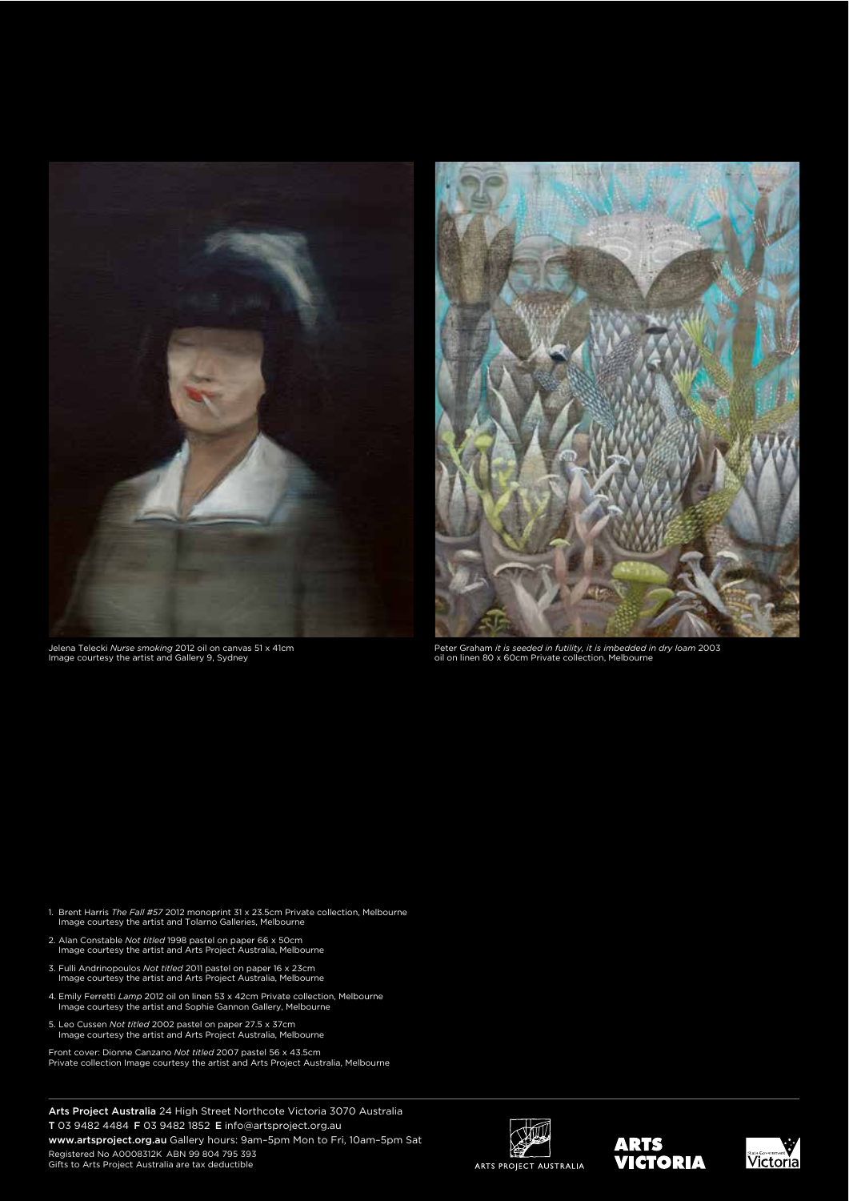

Jelena Telecki *Nurse smoking* 2012 oil on canvas 51 x 41cm Image courtesy the artist and Gallery 9, Sydney



Peter Graham *it is seeded in futility, it is imbedded in dry loam* 2003 oil on linen 80 x 60cm Private collection, Melbourne

- 1. Brent Harris *The Fall #57* 2012 monoprint 31 x 23.5cm Private collection, Melbourne Image courtesy the artist and Tolarno Galleries, Melbourne
- 2. Alan Constable *Not titled* 1998 pastel on paper 66 x 50cm Image courtesy the artist and Arts Project Australia, Melbourne
- 3. Fulli Andrinopoulos *Not titled* 2011 pastel on paper 16 x 23cm Image courtesy the artist and Arts Project Australia, Melbourne
- 4. Emily Ferretti *Lamp* 2012 oil on linen 53 x 42cm Private collection, Melbourne Image courtesy the artist and Sophie Gannon Gallery, Melbourne
- 5. Leo Cussen *Not titled* 2002 pastel on paper 27.5 x 37cm Image courtesy the artist and Arts Project Australia, Melbourne
- Front cover: Dionne Canzano *Not titled* 2007 pastel 56 x 43.5cm Private collection Image courtesy the artist and Arts Project Australia, Melbourne

Arts Project Australia 24 High Street Northcote Victoria 3070 Australia T 03 9482 4484 F 03 9482 1852 E info@artsproject.org.au

www.artsproject.org.au Gallery hours: 9am–5pm Mon to Fri, 10am–5pm Sat Registered No A0008312K ABN 99 804 795 393 Gifts to Arts Project Australia are tax deductible





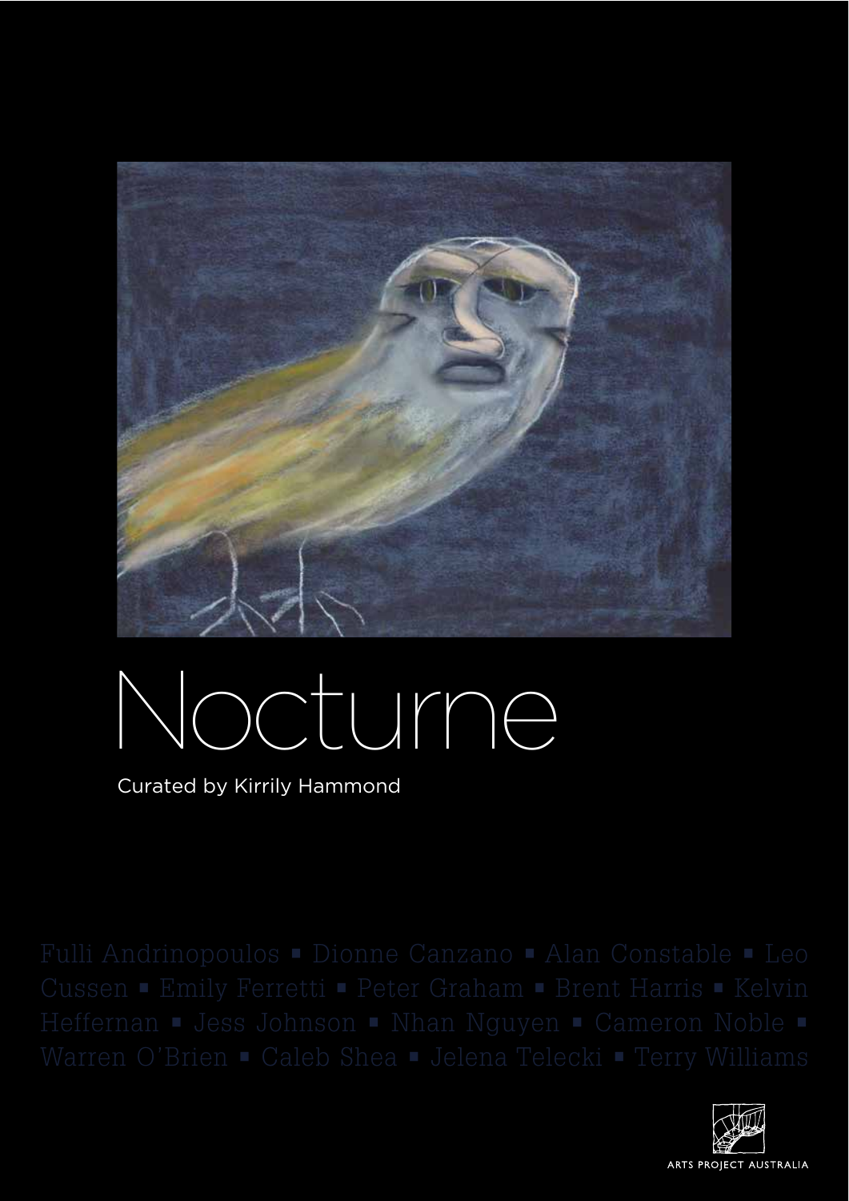

## octurne

Curated by Kirrily Hammond

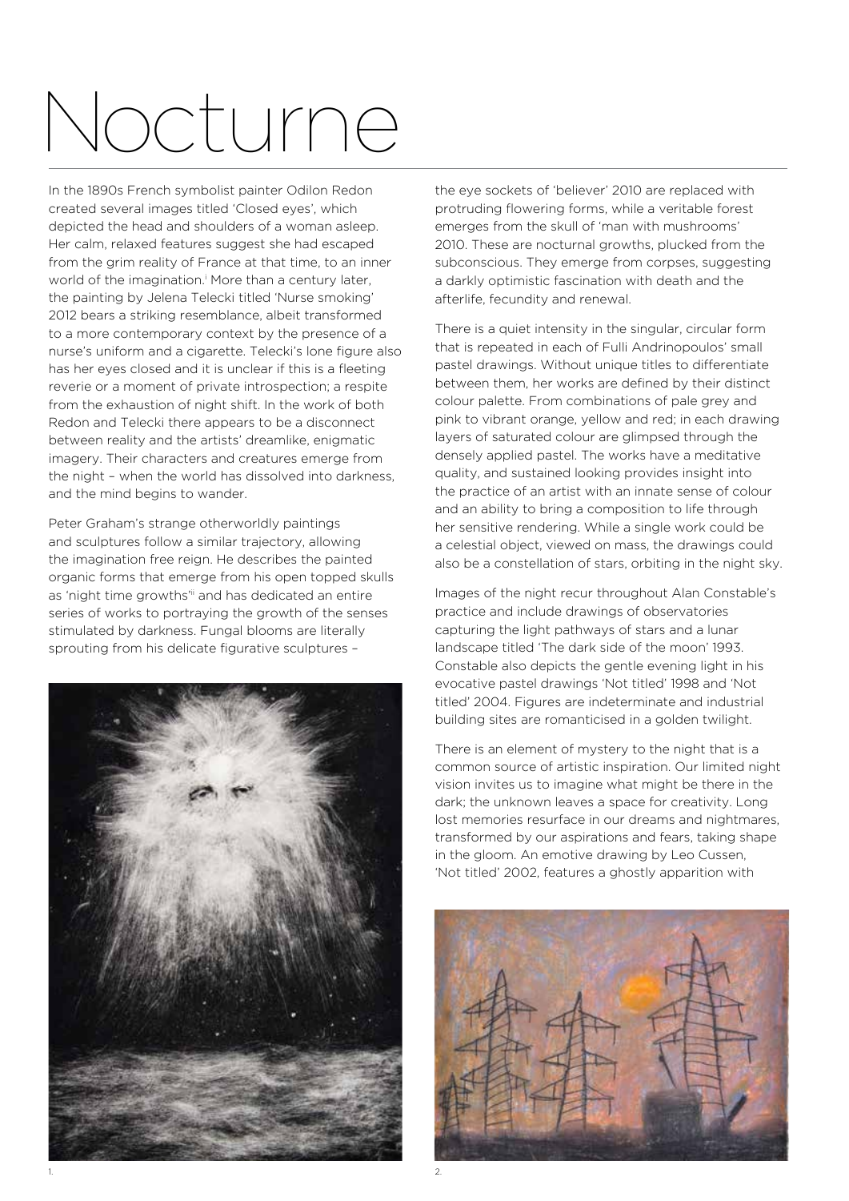## Nocturne

In the 1890s French symbolist painter Odilon Redon created several images titled 'Closed eyes', which depicted the head and shoulders of a woman asleep. Her calm, relaxed features suggest she had escaped from the grim reality of France at that time, to an inner world of the imagination.<sup>*I*</sup> More than a century later, the painting by Jelena Telecki titled 'Nurse smoking' 2012 bears a striking resemblance, albeit transformed to a more contemporary context by the presence of a nurse's uniform and a cigarette. Telecki's lone figure also has her eves closed and it is unclear if this is a fleeting reverie or a moment of private introspection; a respite from the exhaustion of night shift. In the work of both Redon and Telecki there appears to be a disconnect between reality and the artists' dreamlike, enigmatic imagery. Their characters and creatures emerge from the night – when the world has dissolved into darkness, and the mind begins to wander.

Peter Graham's strange otherworldly paintings and sculptures follow a similar trajectory, allowing the imagination free reign. He describes the painted organic forms that emerge from his open topped skulls as 'night time growths'<sup>ii</sup> and has dedicated an entire series of works to portraying the growth of the senses stimulated by darkness. Fungal blooms are literally sprouting from his delicate figurative sculptures -



the eye sockets of 'believer' 2010 are replaced with protruding flowering forms, while a veritable forest emerges from the skull of 'man with mushrooms' 2010. These are nocturnal growths, plucked from the subconscious. They emerge from corpses, suggesting a darkly optimistic fascination with death and the afterlife, fecundity and renewal.

There is a quiet intensity in the singular, circular form that is repeated in each of Fulli Andrinopoulos' small pastel drawings. Without unique titles to differentiate between them, her works are defined by their distinct colour palette. From combinations of pale grey and pink to vibrant orange, yellow and red; in each drawing layers of saturated colour are glimpsed through the densely applied pastel. The works have a meditative quality, and sustained looking provides insight into the practice of an artist with an innate sense of colour and an ability to bring a composition to life through her sensitive rendering. While a single work could be a celestial object, viewed on mass, the drawings could also be a constellation of stars, orbiting in the night sky.

Images of the night recur throughout Alan Constable's practice and include drawings of observatories capturing the light pathways of stars and a lunar landscape titled 'The dark side of the moon' 1993. Constable also depicts the gentle evening light in his evocative pastel drawings 'Not titled' 1998 and 'Not titled' 2004. Figures are indeterminate and industrial building sites are romanticised in a golden twilight.

There is an element of mystery to the night that is a common source of artistic inspiration. Our limited night vision invites us to imagine what might be there in the dark; the unknown leaves a space for creativity. Long lost memories resurface in our dreams and nightmares, transformed by our aspirations and fears, taking shape in the gloom. An emotive drawing by Leo Cussen, 'Not titled' 2002, features a ghostly apparition with